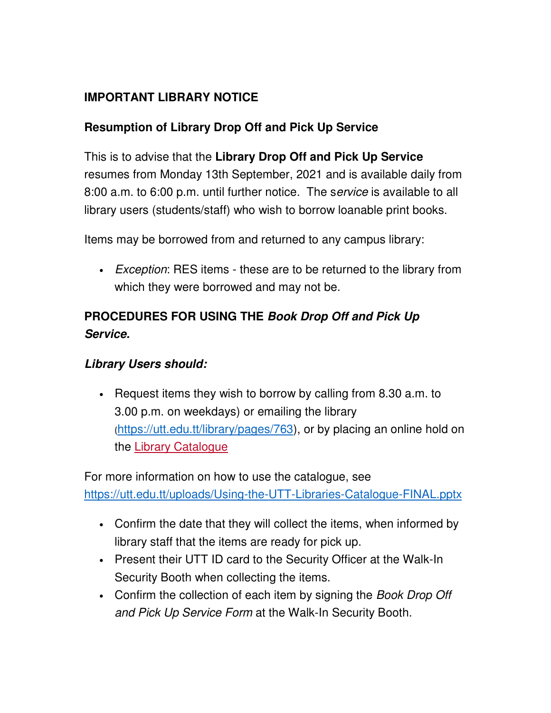## **IMPORTANT LIBRARY NOTICE**

## **Resumption of Library Drop Off and Pick Up Service**

This is to advise that the **Library Drop Off and Pick Up Service** resumes from Monday 13th September, 2021 and is available daily from 8:00 a.m. to 6:00 p.m. until further notice. The service is available to all library users (students/staff) who wish to borrow loanable print books.

Items may be borrowed from and returned to any campus library:

• Exception: RES items - these are to be returned to the library from which they were borrowed and may not be.

## **PROCEDURES FOR USING THE Book Drop Off and Pick Up Service.**

## **Library Users should:**

• Request items they wish to borrow by calling from 8.30 a.m. to 3.00 p.m. on weekdays) or emailing the library (https://utt.edu.tt/library/pages/763), or by placing an online hold on the Library Catalogue

For more information on how to use the catalogue, see https://utt.edu.tt/uploads/Using-the-UTT-Libraries-Catalogue-FINAL.pptx

- Confirm the date that they will collect the items, when informed by library staff that the items are ready for pick up.
- Present their UTT ID card to the Security Officer at the Walk-In Security Booth when collecting the items.
- Confirm the collection of each item by signing the Book Drop Off and Pick Up Service Form at the Walk-In Security Booth.